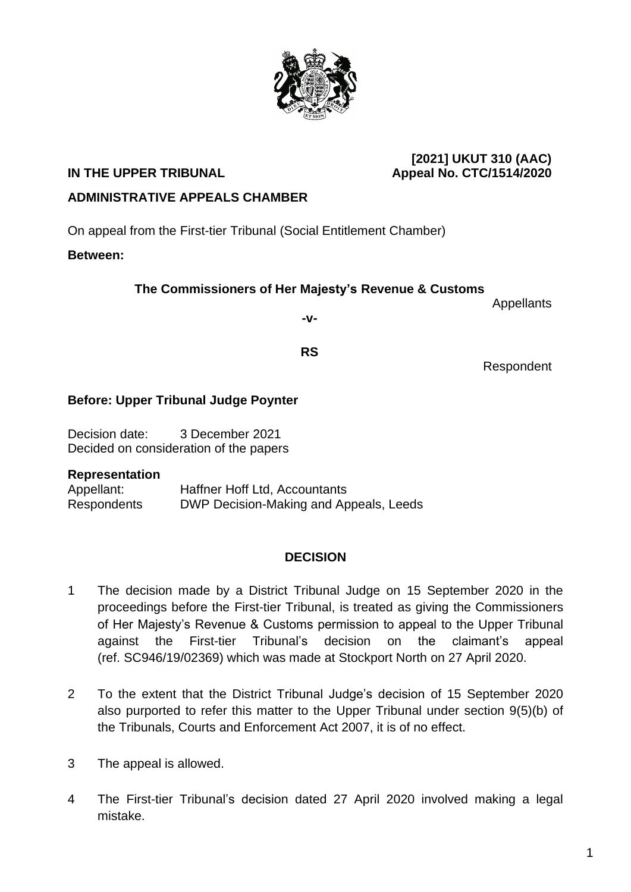#### **[2021] UKUT 310 (AAC) IN THE UPPER TRIBUNAL Appeal No. CTC/1514/2020**

# **ADMINISTRATIVE APPEALS CHAMBER**

On appeal from the First-tier Tribunal (Social Entitlement Chamber)

## **Between:**

## **The Commissioners of Her Majesty's Revenue & Customs**

**-v-**

**RS**

# Respondent

#### **Before: Upper Tribunal Judge Poynter**

Decision date: 3 December 2021 Decided on consideration of the papers

#### **Representation**

Appellant: Haffner Hoff Ltd, Accountants Respondents DWP Decision-Making and Appeals, Leeds

## **DECISION**

- 1 The decision made by a District Tribunal Judge on 15 September 2020 in the proceedings before the First-tier Tribunal, is treated as giving the Commissioners of Her Majesty's Revenue & Customs permission to appeal to the Upper Tribunal against the First-tier Tribunal's decision on the claimant's appeal (ref. SC946/19/02369) which was made at Stockport North on 27 April 2020.
- 2 To the extent that the District Tribunal Judge's decision of 15 September 2020 also purported to refer this matter to the Upper Tribunal under section 9(5)(b) of the Tribunals, Courts and Enforcement Act 2007, it is of no effect.
- 3 The appeal is allowed.
- 4 The First-tier Tribunal's decision dated 27 April 2020 involved making a legal mistake.



Appellants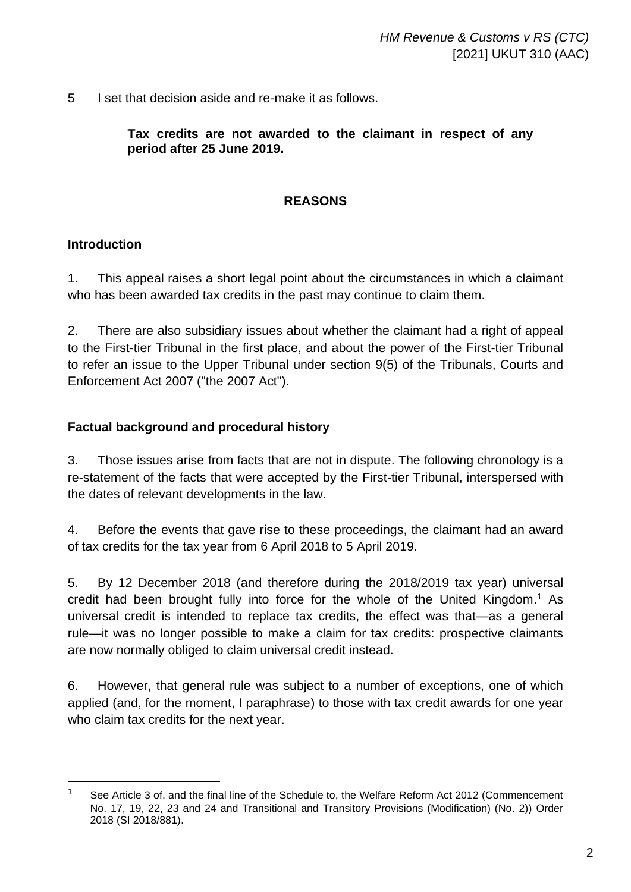5 I set that decision aside and re-make it as follows.

**Tax credits are not awarded to the claimant in respect of any period after 25 June 2019.**

#### **REASONS**

#### **Introduction**

1. This appeal raises a short legal point about the circumstances in which a claimant who has been awarded tax credits in the past may continue to claim them.

2. There are also subsidiary issues about whether the claimant had a right of appeal to the First-tier Tribunal in the first place, and about the power of the First-tier Tribunal to refer an issue to the Upper Tribunal under section 9(5) of the Tribunals, Courts and Enforcement Act 2007 ("the 2007 Act").

#### **Factual background and procedural history**

3. Those issues arise from facts that are not in dispute. The following chronology is a re-statement of the facts that were accepted by the First-tier Tribunal, interspersed with the dates of relevant developments in the law.

4. Before the events that gave rise to these proceedings, the claimant had an award of tax credits for the tax year from 6 April 2018 to 5 April 2019.

5. By 12 December 2018 (and therefore during the 2018/2019 tax year) universal credit had been brought fully into force for the whole of the United Kingdom.<sup>1</sup> As universal credit is intended to replace tax credits, the effect was that—as a general rule—it was no longer possible to make a claim for tax credits: prospective claimants are now normally obliged to claim universal credit instead.

6. However, that general rule was subject to a number of exceptions, one of which applied (and, for the moment, I paraphrase) to those with tax credit awards for one year who claim tax credits for the next year.

<sup>&</sup>lt;sup>1</sup> See Article 3 of, and the final line of the Schedule to, the Welfare Reform Act 2012 (Commencement No. 17, 19, 22, 23 and 24 and Transitional and Transitory Provisions (Modification) (No. 2)) Order 2018 (SI 2018/881).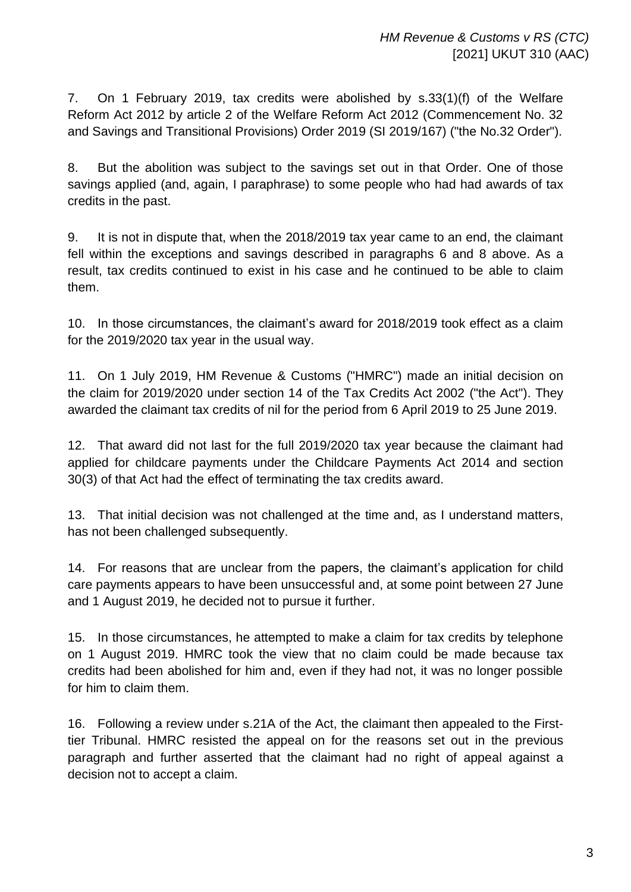7. On 1 February 2019, tax credits were abolished by s.33(1)(f) of the Welfare Reform Act 2012 by article 2 of the Welfare Reform Act 2012 (Commencement No. 32 and Savings and Transitional Provisions) Order 2019 (SI 2019/167) ("the No.32 Order").

8. But the abolition was subject to the savings set out in that Order. One of those savings applied (and, again, I paraphrase) to some people who had had awards of tax credits in the past.

9. It is not in dispute that, when the 2018/2019 tax year came to an end, the claimant fell within the exceptions and savings described in paragraphs 6 and 8 above. As a result, tax credits continued to exist in his case and he continued to be able to claim them.

10. In those circumstances, the claimant's award for 2018/2019 took effect as a claim for the 2019/2020 tax year in the usual way.

11. On 1 July 2019, HM Revenue & Customs ("HMRC") made an initial decision on the claim for 2019/2020 under section 14 of the Tax Credits Act 2002 ("the Act"). They awarded the claimant tax credits of nil for the period from 6 April 2019 to 25 June 2019.

12. That award did not last for the full 2019/2020 tax year because the claimant had applied for childcare payments under the Childcare Payments Act 2014 and section 30(3) of that Act had the effect of terminating the tax credits award.

13. That initial decision was not challenged at the time and, as I understand matters, has not been challenged subsequently.

14. For reasons that are unclear from the papers, the claimant's application for child care payments appears to have been unsuccessful and, at some point between 27 June and 1 August 2019, he decided not to pursue it further.

15. In those circumstances, he attempted to make a claim for tax credits by telephone on 1 August 2019. HMRC took the view that no claim could be made because tax credits had been abolished for him and, even if they had not, it was no longer possible for him to claim them.

16. Following a review under s.21A of the Act, the claimant then appealed to the Firsttier Tribunal. HMRC resisted the appeal on for the reasons set out in the previous paragraph and further asserted that the claimant had no right of appeal against a decision not to accept a claim.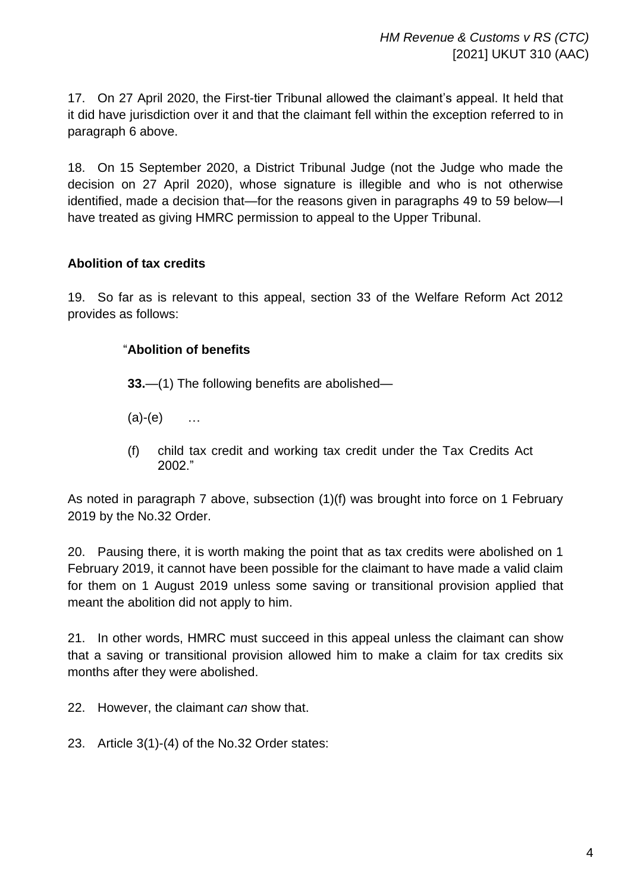17. On 27 April 2020, the First-tier Tribunal allowed the claimant's appeal. It held that it did have jurisdiction over it and that the claimant fell within the exception referred to in paragraph 6 above.

18. On 15 September 2020, a District Tribunal Judge (not the Judge who made the decision on 27 April 2020), whose signature is illegible and who is not otherwise identified, made a decision that—for the reasons given in paragraphs 49 to 59 below—I have treated as giving HMRC permission to appeal to the Upper Tribunal.

## **Abolition of tax credits**

19. So far as is relevant to this appeal, section 33 of the Welfare Reform Act 2012 provides as follows:

## "**Abolition of benefits**

**33.**—(1) The following benefits are abolished—

- $(a)-(e)$  ...
- (f) child tax credit and working tax credit under the Tax Credits Act 2002."

As noted in paragraph 7 above, subsection (1)(f) was brought into force on 1 February 2019 by the No.32 Order.

20. Pausing there, it is worth making the point that as tax credits were abolished on 1 February 2019, it cannot have been possible for the claimant to have made a valid claim for them on 1 August 2019 unless some saving or transitional provision applied that meant the abolition did not apply to him.

21. In other words, HMRC must succeed in this appeal unless the claimant can show that a saving or transitional provision allowed him to make a claim for tax credits six months after they were abolished.

22. However, the claimant *can* show that.

23. Article 3(1)-(4) of the No.32 Order states: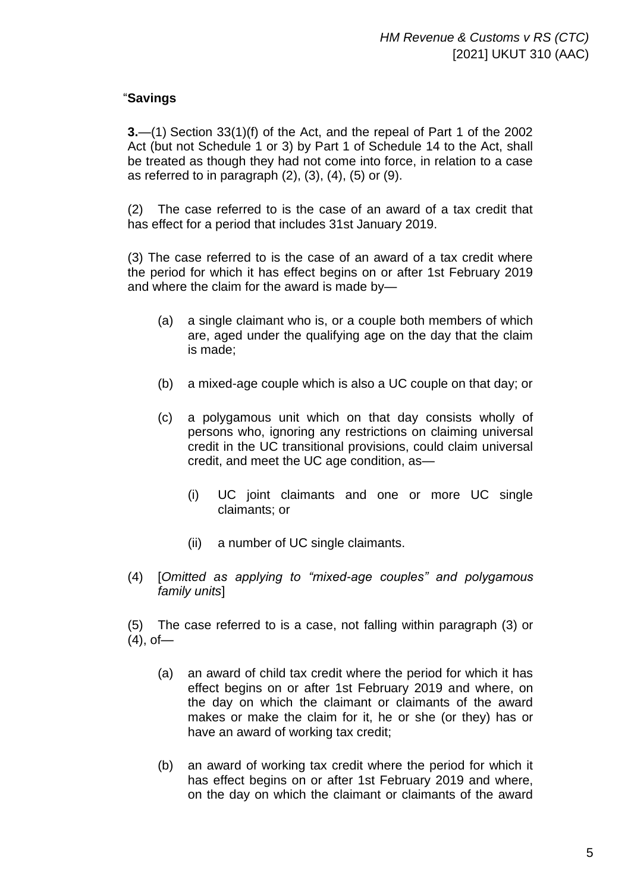## "**Savings**

**3.**—(1) Section 33(1)(f) of the Act, and the repeal of Part 1 of the 2002 Act (but not Schedule 1 or 3) by Part 1 of Schedule 14 to the Act, shall be treated as though they had not come into force, in relation to a case as referred to in paragraph  $(2)$ ,  $(3)$ ,  $(4)$ ,  $(5)$  or  $(9)$ .

(2) The case referred to is the case of an award of a tax credit that has effect for a period that includes 31st January 2019.

(3) The case referred to is the case of an award of a tax credit where the period for which it has effect begins on or after 1st February 2019 and where the claim for the award is made by—

- (a) a single claimant who is, or a couple both members of which are, aged under the qualifying age on the day that the claim is made;
- (b) a mixed-age couple which is also a UC couple on that day; or
- (c) a polygamous unit which on that day consists wholly of persons who, ignoring any restrictions on claiming universal credit in the UC transitional provisions, could claim universal credit, and meet the UC age condition, as—
	- (i) UC joint claimants and one or more UC single claimants; or
	- (ii) a number of UC single claimants.
- (4) [*Omitted as applying to "mixed-age couples" and polygamous family units*]

(5) The case referred to is a case, not falling within paragraph (3) or  $(4)$ , of-

- (a) an award of child tax credit where the period for which it has effect begins on or after 1st February 2019 and where, on the day on which the claimant or claimants of the award makes or make the claim for it, he or she (or they) has or have an award of working tax credit;
- (b) an award of working tax credit where the period for which it has effect begins on or after 1st February 2019 and where, on the day on which the claimant or claimants of the award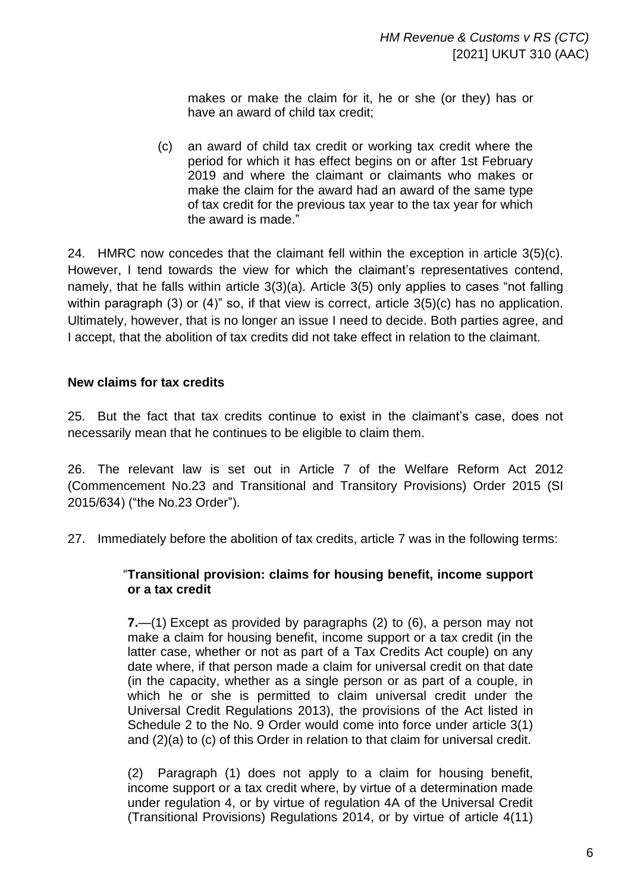makes or make the claim for it, he or she (or they) has or have an award of child tax credit;

(c) an award of child tax credit or working tax credit where the period for which it has effect begins on or after 1st February 2019 and where the claimant or claimants who makes or make the claim for the award had an award of the same type of tax credit for the previous tax year to the tax year for which the award is made."

24. HMRC now concedes that the claimant fell within the exception in article 3(5)(c). However, I tend towards the view for which the claimant's representatives contend, namely, that he falls within article 3(3)(a). Article 3(5) only applies to cases "not falling within paragraph (3) or (4)" so, if that view is correct, article 3(5)(c) has no application. Ultimately, however, that is no longer an issue I need to decide. Both parties agree, and I accept, that the abolition of tax credits did not take effect in relation to the claimant.

## **New claims for tax credits**

25. But the fact that tax credits continue to exist in the claimant's case, does not necessarily mean that he continues to be eligible to claim them.

26. The relevant law is set out in Article 7 of the Welfare Reform Act 2012 (Commencement No.23 and Transitional and Transitory Provisions) Order 2015 (SI 2015/634) ("the No.23 Order").

27. Immediately before the abolition of tax credits, article 7 was in the following terms:

#### "**Transitional provision: claims for housing benefit, income support or a tax credit**

**7.**—(1) Except as provided by paragraphs (2) to (6), a person may not make a claim for housing benefit, income support or a tax credit (in the latter case, whether or not as part of a Tax Credits Act couple) on any date where, if that person made a claim for universal credit on that date (in the capacity, whether as a single person or as part of a couple, in which he or she is permitted to claim universal credit under the Universal Credit Regulations 2013), the provisions of the Act listed in Schedule 2 to the No. 9 Order would come into force under article 3(1) and (2)(a) to (c) of this Order in relation to that claim for universal credit.

(2) Paragraph (1) does not apply to a claim for housing benefit, income support or a tax credit where, by virtue of a determination made under regulation 4, or by virtue of regulation 4A of the Universal Credit (Transitional Provisions) Regulations 2014, or by virtue of article 4(11)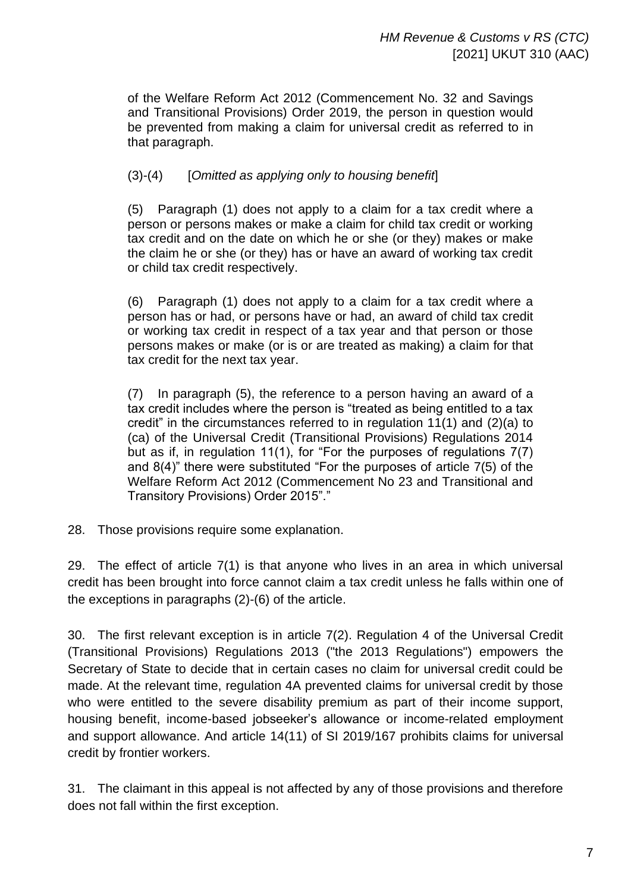of the Welfare Reform Act 2012 (Commencement No. 32 and Savings and Transitional Provisions) Order 2019, the person in question would be prevented from making a claim for universal credit as referred to in that paragraph.

# (3)-(4) [*Omitted as applying only to housing benefit*]

(5) Paragraph (1) does not apply to a claim for a tax credit where a person or persons makes or make a claim for child tax credit or working tax credit and on the date on which he or she (or they) makes or make the claim he or she (or they) has or have an award of working tax credit or child tax credit respectively.

(6) Paragraph (1) does not apply to a claim for a tax credit where a person has or had, or persons have or had, an award of child tax credit or working tax credit in respect of a tax year and that person or those persons makes or make (or is or are treated as making) a claim for that tax credit for the next tax year.

(7) In paragraph (5), the reference to a person having an award of a tax credit includes where the person is "treated as being entitled to a tax credit" in the circumstances referred to in regulation 11(1) and (2)(a) to (ca) of the Universal Credit (Transitional Provisions) Regulations 2014 but as if, in regulation 11(1), for "For the purposes of regulations 7(7) and 8(4)" there were substituted "For the purposes of article 7(5) of the Welfare Reform Act 2012 (Commencement No 23 and Transitional and Transitory Provisions) Order 2015"."

28. Those provisions require some explanation.

29. The effect of article 7(1) is that anyone who lives in an area in which universal credit has been brought into force cannot claim a tax credit unless he falls within one of the exceptions in paragraphs (2)-(6) of the article.

30. The first relevant exception is in article 7(2). Regulation 4 of the Universal Credit (Transitional Provisions) Regulations 2013 ("the 2013 Regulations") empowers the Secretary of State to decide that in certain cases no claim for universal credit could be made. At the relevant time, regulation 4A prevented claims for universal credit by those who were entitled to the severe disability premium as part of their income support, housing benefit, income-based jobseeker's allowance or income-related employment and support allowance. And article 14(11) of SI 2019/167 prohibits claims for universal credit by frontier workers.

31. The claimant in this appeal is not affected by any of those provisions and therefore does not fall within the first exception.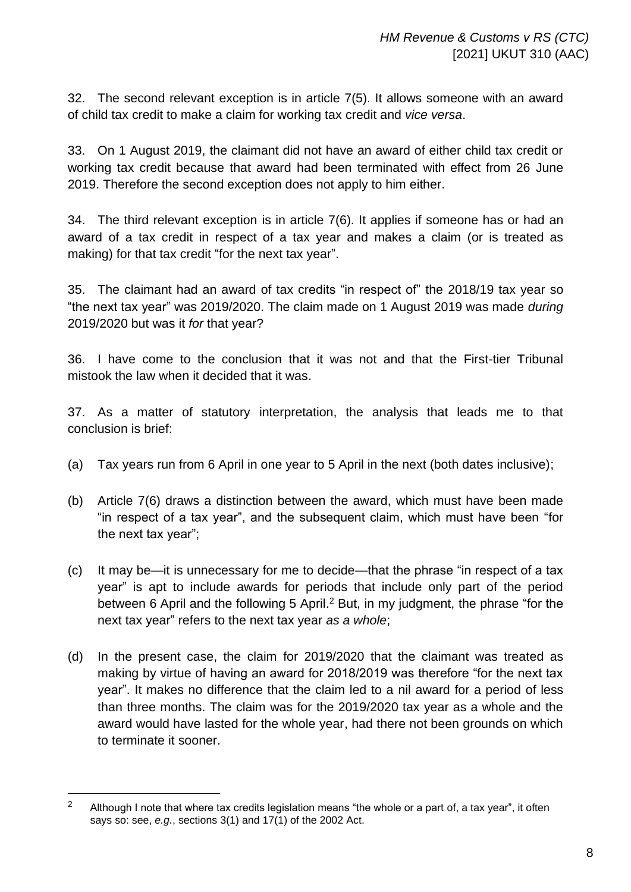32. The second relevant exception is in article 7(5). It allows someone with an award of child tax credit to make a claim for working tax credit and *vice versa*.

33. On 1 August 2019, the claimant did not have an award of either child tax credit or working tax credit because that award had been terminated with effect from 26 June 2019. Therefore the second exception does not apply to him either.

34. The third relevant exception is in article 7(6). It applies if someone has or had an award of a tax credit in respect of a tax year and makes a claim (or is treated as making) for that tax credit "for the next tax year".

35. The claimant had an award of tax credits "in respect of" the 2018/19 tax year so "the next tax year" was 2019/2020. The claim made on 1 August 2019 was made *during* 2019/2020 but was it *for* that year?

36. I have come to the conclusion that it was not and that the First-tier Tribunal mistook the law when it decided that it was.

37. As a matter of statutory interpretation, the analysis that leads me to that conclusion is brief:

- (a) Tax years run from 6 April in one year to 5 April in the next (both dates inclusive);
- (b) Article 7(6) draws a distinction between the award, which must have been made "in respect of a tax year", and the subsequent claim, which must have been "for the next tax year";
- (c) It may be—it is unnecessary for me to decide—that the phrase "in respect of a tax year" is apt to include awards for periods that include only part of the period between 6 April and the following 5 April.<sup>2</sup> But, in my judgment, the phrase "for the next tax year" refers to the next tax year *as a whole*;
- (d) In the present case, the claim for 2019/2020 that the claimant was treated as making by virtue of having an award for 2018/2019 was therefore "for the next tax year". It makes no difference that the claim led to a nil award for a period of less than three months. The claim was for the 2019/2020 tax year as a whole and the award would have lasted for the whole year, had there not been grounds on which to terminate it sooner.

<sup>&</sup>lt;sup>2</sup> Although I note that where tax credits legislation means "the whole or a part of, a tax year", it often says so: see, *e.g.*, sections 3(1) and 17(1) of the 2002 Act.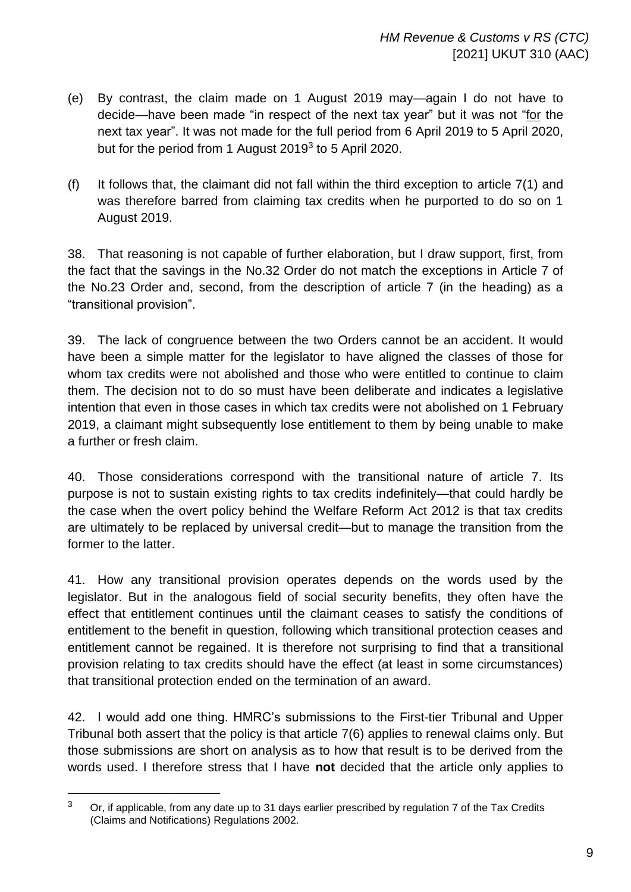- (e) By contrast, the claim made on 1 August 2019 may—again I do not have to decide—have been made "in respect of the next tax year" but it was not "for the next tax year". It was not made for the full period from 6 April 2019 to 5 April 2020, but for the period from 1 August 2019<sup>3</sup> to 5 April 2020.
- (f) It follows that, the claimant did not fall within the third exception to article  $7(1)$  and was therefore barred from claiming tax credits when he purported to do so on 1 August 2019.

38. That reasoning is not capable of further elaboration, but I draw support, first, from the fact that the savings in the No.32 Order do not match the exceptions in Article 7 of the No.23 Order and, second, from the description of article 7 (in the heading) as a "transitional provision".

39. The lack of congruence between the two Orders cannot be an accident. It would have been a simple matter for the legislator to have aligned the classes of those for whom tax credits were not abolished and those who were entitled to continue to claim them. The decision not to do so must have been deliberate and indicates a legislative intention that even in those cases in which tax credits were not abolished on 1 February 2019, a claimant might subsequently lose entitlement to them by being unable to make a further or fresh claim.

40. Those considerations correspond with the transitional nature of article 7. Its purpose is not to sustain existing rights to tax credits indefinitely—that could hardly be the case when the overt policy behind the Welfare Reform Act 2012 is that tax credits are ultimately to be replaced by universal credit—but to manage the transition from the former to the latter.

41. How any transitional provision operates depends on the words used by the legislator. But in the analogous field of social security benefits, they often have the effect that entitlement continues until the claimant ceases to satisfy the conditions of entitlement to the benefit in question, following which transitional protection ceases and entitlement cannot be regained. It is therefore not surprising to find that a transitional provision relating to tax credits should have the effect (at least in some circumstances) that transitional protection ended on the termination of an award.

42. I would add one thing. HMRC's submissions to the First-tier Tribunal and Upper Tribunal both assert that the policy is that article 7(6) applies to renewal claims only. But those submissions are short on analysis as to how that result is to be derived from the words used. I therefore stress that I have **not** decided that the article only applies to

 $3$  Or, if applicable, from any date up to 31 days earlier prescribed by regulation 7 of the Tax Credits (Claims and Notifications) Regulations 2002.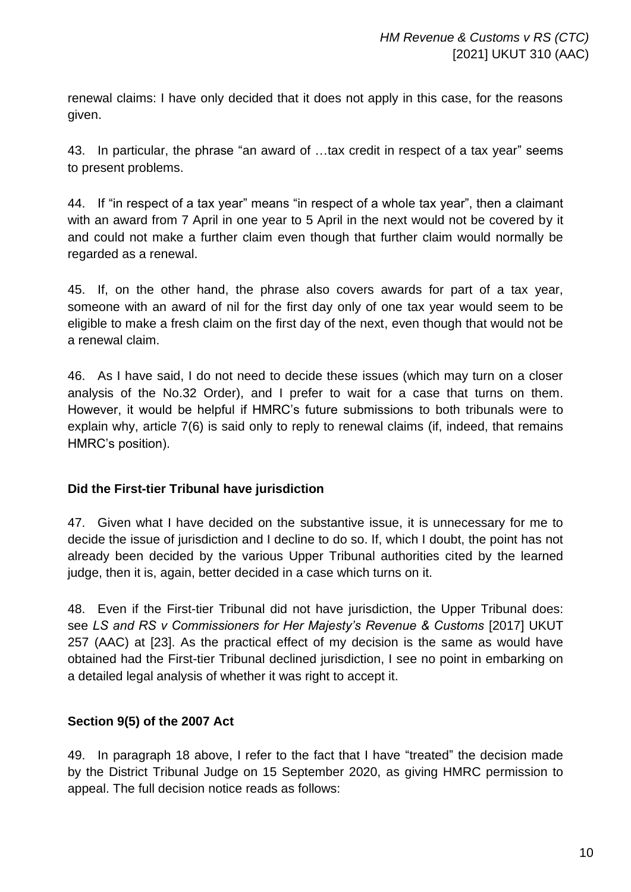renewal claims: I have only decided that it does not apply in this case, for the reasons given.

43. In particular, the phrase "an award of …tax credit in respect of a tax year" seems to present problems.

44. If "in respect of a tax year" means "in respect of a whole tax year", then a claimant with an award from 7 April in one year to 5 April in the next would not be covered by it and could not make a further claim even though that further claim would normally be regarded as a renewal.

45. If, on the other hand, the phrase also covers awards for part of a tax year, someone with an award of nil for the first day only of one tax year would seem to be eligible to make a fresh claim on the first day of the next, even though that would not be a renewal claim.

46. As I have said, I do not need to decide these issues (which may turn on a closer analysis of the No.32 Order), and I prefer to wait for a case that turns on them. However, it would be helpful if HMRC's future submissions to both tribunals were to explain why, article 7(6) is said only to reply to renewal claims (if, indeed, that remains HMRC's position).

## **Did the First-tier Tribunal have jurisdiction**

47. Given what I have decided on the substantive issue, it is unnecessary for me to decide the issue of jurisdiction and I decline to do so. If, which I doubt, the point has not already been decided by the various Upper Tribunal authorities cited by the learned judge, then it is, again, better decided in a case which turns on it.

48. Even if the First-tier Tribunal did not have jurisdiction, the Upper Tribunal does: see *LS and RS v Commissioners for Her Majesty's Revenue & Customs* [2017] UKUT 257 (AAC) at [23]. As the practical effect of my decision is the same as would have obtained had the First-tier Tribunal declined jurisdiction, I see no point in embarking on a detailed legal analysis of whether it was right to accept it.

# **Section 9(5) of the 2007 Act**

49. In paragraph 18 above, I refer to the fact that I have "treated" the decision made by the District Tribunal Judge on 15 September 2020, as giving HMRC permission to appeal. The full decision notice reads as follows: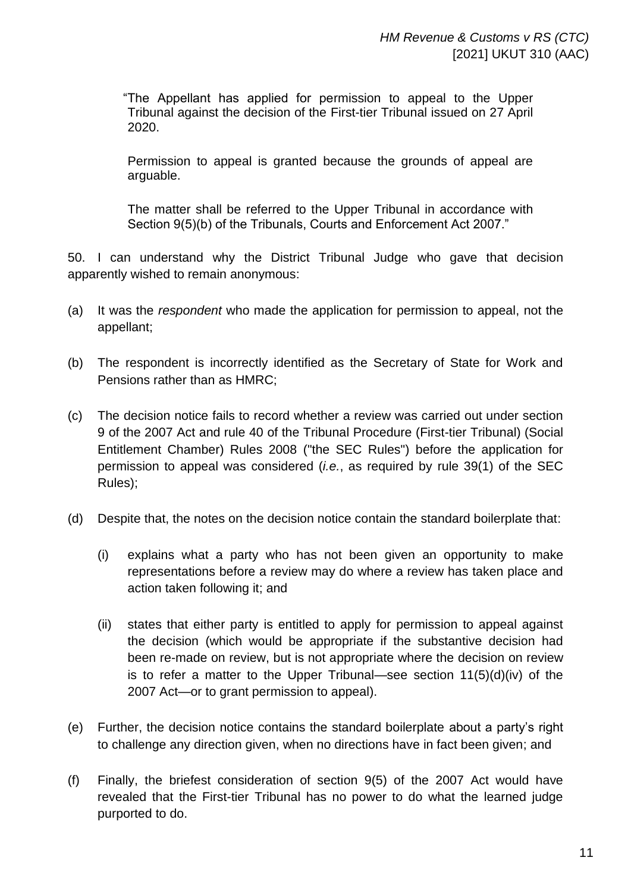"The Appellant has applied for permission to appeal to the Upper Tribunal against the decision of the First-tier Tribunal issued on 27 April 2020.

Permission to appeal is granted because the grounds of appeal are arguable.

The matter shall be referred to the Upper Tribunal in accordance with Section 9(5)(b) of the Tribunals, Courts and Enforcement Act 2007."

50. I can understand why the District Tribunal Judge who gave that decision apparently wished to remain anonymous:

- (a) It was the *respondent* who made the application for permission to appeal, not the appellant;
- (b) The respondent is incorrectly identified as the Secretary of State for Work and Pensions rather than as HMRC;
- (c) The decision notice fails to record whether a review was carried out under section 9 of the 2007 Act and rule 40 of the Tribunal Procedure (First-tier Tribunal) (Social Entitlement Chamber) Rules 2008 ("the SEC Rules") before the application for permission to appeal was considered (*i.e.*, as required by rule 39(1) of the SEC Rules);
- (d) Despite that, the notes on the decision notice contain the standard boilerplate that:
	- (i) explains what a party who has not been given an opportunity to make representations before a review may do where a review has taken place and action taken following it; and
	- (ii) states that either party is entitled to apply for permission to appeal against the decision (which would be appropriate if the substantive decision had been re-made on review, but is not appropriate where the decision on review is to refer a matter to the Upper Tribunal—see section 11(5)(d)(iv) of the 2007 Act—or to grant permission to appeal).
- (e) Further, the decision notice contains the standard boilerplate about a party's right to challenge any direction given, when no directions have in fact been given; and
- (f) Finally, the briefest consideration of section 9(5) of the 2007 Act would have revealed that the First-tier Tribunal has no power to do what the learned judge purported to do.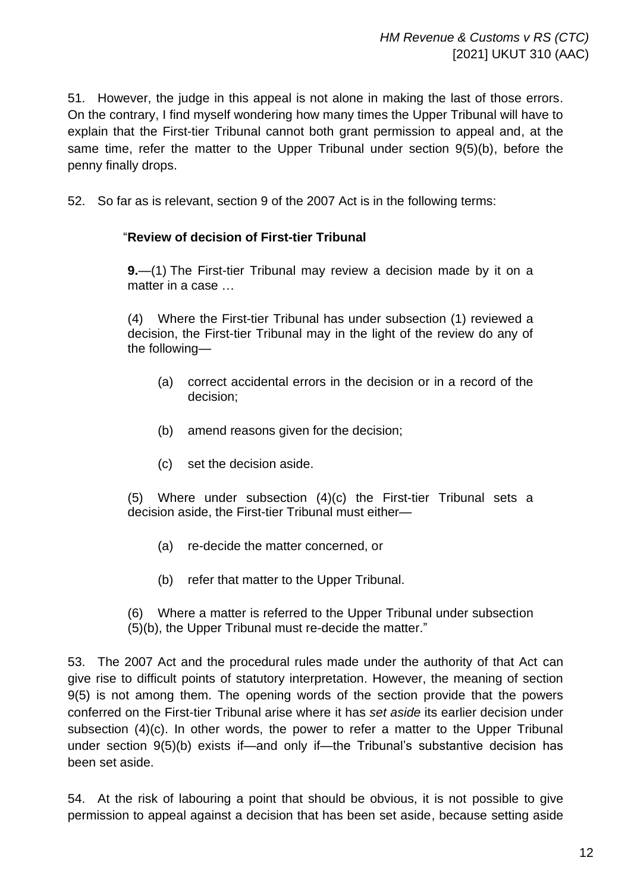51. However, the judge in this appeal is not alone in making the last of those errors. On the contrary, I find myself wondering how many times the Upper Tribunal will have to explain that the First-tier Tribunal cannot both grant permission to appeal and, at the same time, refer the matter to the Upper Tribunal under section 9(5)(b), before the penny finally drops.

52. So far as is relevant, section 9 of the 2007 Act is in the following terms:

## "**Review of decision of First-tier Tribunal**

**9.**—(1) The First-tier Tribunal may review a decision made by it on a matter in a case

(4) Where the First-tier Tribunal has under subsection (1) reviewed a decision, the First-tier Tribunal may in the light of the review do any of the following—

- (a) correct accidental errors in the decision or in a record of the decision;
- (b) amend reasons given for the decision;
- (c) set the decision aside.

(5) Where under subsection (4)(c) the First-tier Tribunal sets a decision aside, the First-tier Tribunal must either—

- (a) re-decide the matter concerned, or
- (b) refer that matter to the Upper Tribunal.
- (6) Where a matter is referred to the Upper Tribunal under subsection (5)(b), the Upper Tribunal must re-decide the matter."

53. The 2007 Act and the procedural rules made under the authority of that Act can give rise to difficult points of statutory interpretation. However, the meaning of section 9(5) is not among them. The opening words of the section provide that the powers conferred on the First-tier Tribunal arise where it has *set aside* its earlier decision under subsection (4)(c). In other words, the power to refer a matter to the Upper Tribunal under section 9(5)(b) exists if—and only if—the Tribunal's substantive decision has been set aside.

54. At the risk of labouring a point that should be obvious, it is not possible to give permission to appeal against a decision that has been set aside, because setting aside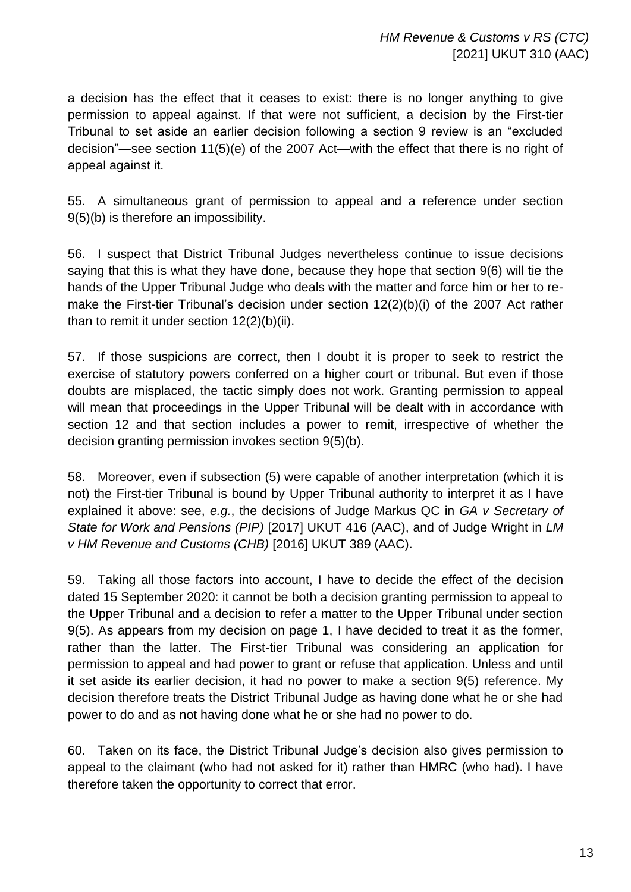a decision has the effect that it ceases to exist: there is no longer anything to give permission to appeal against. If that were not sufficient, a decision by the First-tier Tribunal to set aside an earlier decision following a section 9 review is an "excluded decision"—see section 11(5)(e) of the 2007 Act—with the effect that there is no right of appeal against it.

55. A simultaneous grant of permission to appeal and a reference under section 9(5)(b) is therefore an impossibility.

56. I suspect that District Tribunal Judges nevertheless continue to issue decisions saying that this is what they have done, because they hope that section 9(6) will tie the hands of the Upper Tribunal Judge who deals with the matter and force him or her to remake the First-tier Tribunal's decision under section 12(2)(b)(i) of the 2007 Act rather than to remit it under section 12(2)(b)(ii).

57. If those suspicions are correct, then I doubt it is proper to seek to restrict the exercise of statutory powers conferred on a higher court or tribunal. But even if those doubts are misplaced, the tactic simply does not work. Granting permission to appeal will mean that proceedings in the Upper Tribunal will be dealt with in accordance with section 12 and that section includes a power to remit, irrespective of whether the decision granting permission invokes section 9(5)(b).

58. Moreover, even if subsection (5) were capable of another interpretation (which it is not) the First-tier Tribunal is bound by Upper Tribunal authority to interpret it as I have explained it above: see, *e.g.*, the decisions of Judge Markus QC in *GA v Secretary of State for Work and Pensions (PIP)* [2017] UKUT 416 (AAC), and of Judge Wright in *LM v HM Revenue and Customs (CHB)* [2016] UKUT 389 (AAC).

59. Taking all those factors into account, I have to decide the effect of the decision dated 15 September 2020: it cannot be both a decision granting permission to appeal to the Upper Tribunal and a decision to refer a matter to the Upper Tribunal under section 9(5). As appears from my decision on page 1, I have decided to treat it as the former, rather than the latter. The First-tier Tribunal was considering an application for permission to appeal and had power to grant or refuse that application. Unless and until it set aside its earlier decision, it had no power to make a section 9(5) reference. My decision therefore treats the District Tribunal Judge as having done what he or she had power to do and as not having done what he or she had no power to do.

60. Taken on its face, the District Tribunal Judge's decision also gives permission to appeal to the claimant (who had not asked for it) rather than HMRC (who had). I have therefore taken the opportunity to correct that error.